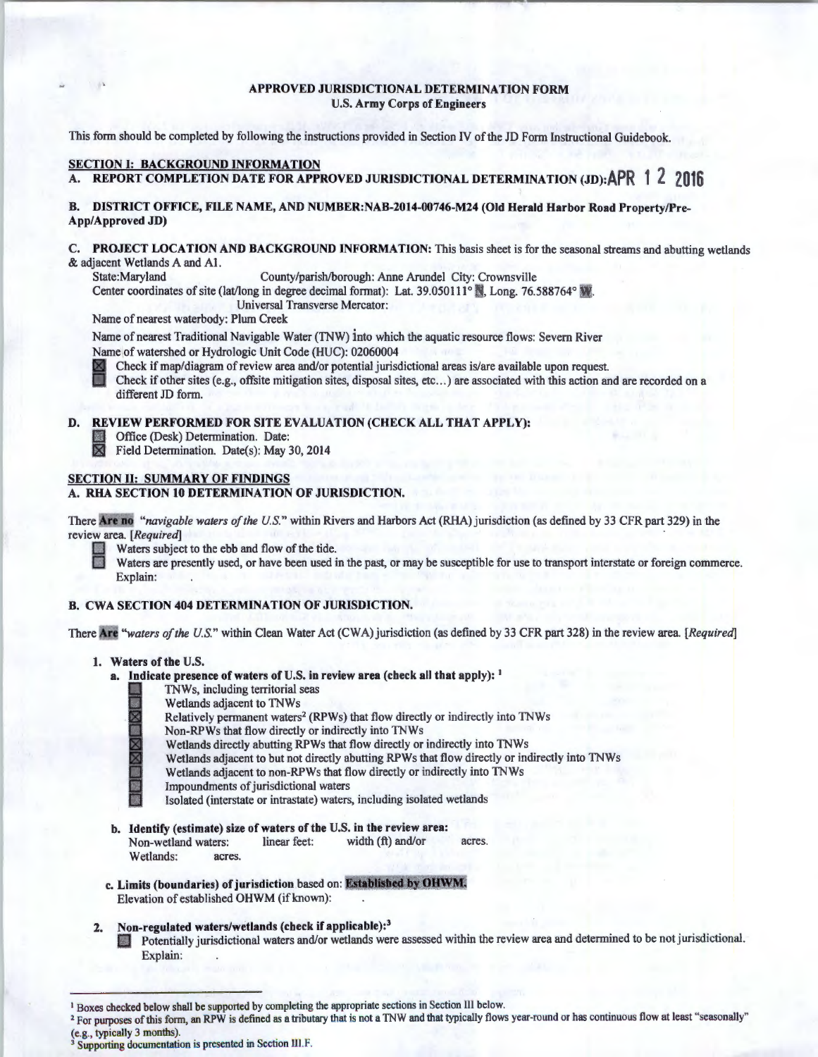## APPROVED JURISDICTIONAL DETERMINATION FORM U.S. Army Corps of Engineers

This form should be completed by following the instructions provided in Section IV of the JD Form Instructional Guidebook.

## SECTION I: BACKGROUND INFORMATION

# A. REPORT COMPLETION DATE FOR APPROVED JURISDICTIONAL DETERMINATION **(JD):APR 1 2 <sup>2016</sup>**

## B. DISTRICT OFFICE, FILE NAME, AND NUMBER:NAB-2014-00746-M24 (Old Herald Harbor Road Property/Pre-App/Approved JD)

## C. PROJECT LOCATION AND BACKGROUND INFORMATION: This basis sheet is for the seasonal streams and abutting wetlands & adjacent Wetlands A and Al.

State:Maryland County/parish/borough: Anne Arundel City: Crownsville

Center coordinates of site (lat/long in degree decimal format): Lat. 39.050111<sup>°</sup> . Long. 76.588764° .

Universal Transverse Mercator:

Name of nearest waterbody: Plum Creek

Name of nearest Traditional Navigable Water (TNW) into which the aquatic resource flows: Severn River Name of watershed or Hydrologic Unit Code (HUC): 02060004

Check if map/diagram of review area and/or potential jurisdictional areas is/are available upon request.

Check if other sites (e.g., offsite mitigation sites, disposal sites,  $etc...$ ) are associated with this action and are recorded on a different JD form.

#### D. REVIEW PERFORMED FOR SITE EVALUATION (CHECK ALL THAT APPLY):

**111 Office (Desk) Determination. Date:**<br>**121** Field Determination. Date(s): May

Field Determination. Date(s): May 30, 2014

## SECTION II: SUMMARY OF FINDINGS

## A. RHA SECTION 10 DETERMINATION OF JURISDICTION.

There Are no "navigable waters of the U.S." within Rivers and Harbors Act (RHA) jurisdiction (as defined by 33 CFR part 329) in the review area. *[Required]* ·

Waters subject to the ebb and flow of the tide.

Waters are presently used, or have been used in the past, or may be susceptible for use to transport interstate or foreign commerce. Explain:

## B. CWA SECTION 404 DETERMINATION OF JURISDICTION.

There Are "waters of the U.S." within Clean Water Act (CWA) jurisdiction (as defined by 33 CFR part 328) in the review area. [Required]

#### 1. Waters of the U.S.

- a. Indicate presence of waters of U.S. in review area (check all that apply): <sup>1</sup>
	- I TNWs, including territorial seas



- Wetlands adjacent to TNWs
- Relatively permanent waters<sup>2</sup> (RPWs) that flow directly or indirectly into TNWs
- Non-RPWs that flow directly or indirectly into TNWs

Wetlands directly abutting RPWs that flow directly or indirectly into TNWs

~ Wetlands adjacent to but not directly abutting RPWs that flow directly or indirectly into TNWs

Wetlands adjacent to non-RPWs that flow directly or indirectly into TNWs

Impoundments of jurisdictional waters

Isolated (interstate or intrastate) waters, including isolated wetlands

- b. Identify (estimate) size of waters of the U.S. in the review area: Non-wetland waters: linear feet: width (ft) and/or acres. Wetlands: acres.
- c. Limits (boundaries) of jurisdiction based on: Established by OHWM. Elevation of established OHWM (if known):

## 2. Non-regulated waters/wetlands (check if applicable):<sup>3</sup>

Potentially jurisdictional waters and/or wetlands were assessed within the review area and determined to be not jurisdictional. Explain:

<sup>&</sup>lt;sup>1</sup> Boxes checked below shall be supported by completing the appropriate sections in Section III below.

<sup>&</sup>lt;sup>2</sup> For purposes of this form, an RPW is defined as a tributary that is not a TNW and that typically flows year-round or has continuous flow at least "seasonally" (e.g., typically 3 months).  $3$  Supporting documentation is presented in Section III.F.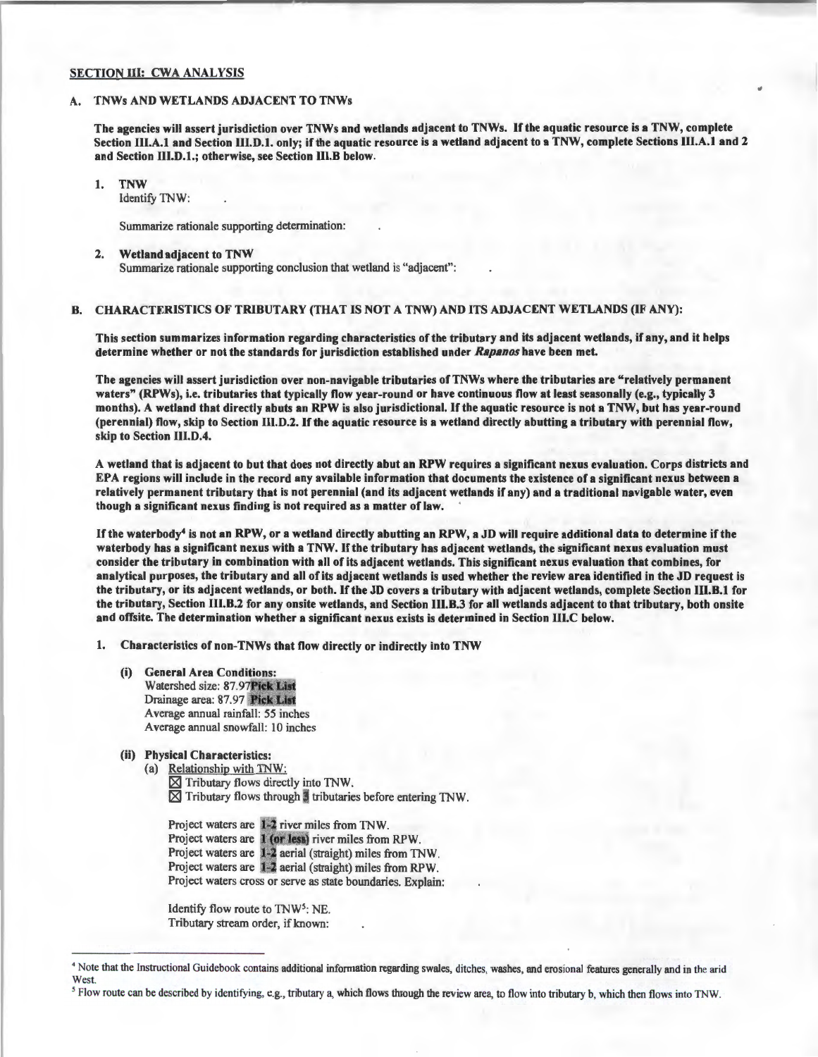## SECTION III: CWA ANALYSIS

## A. TNWs AND WETLANDS ADJACENT TO TNWs

The agencies will assert jurisdiction over TNWs and wetlands adjacent to TNWs. If the aquatic resource is a TNW, complete Section III.A.1 and Section III.D.1. only; if the aquatic resource is a wetland adjacent to a TNW, complete Sections III.A.1 and 2 and Section Ill.D.1.; otherwise, see Section llI.B below.

1. TNW

Identify TNW:

Summarize rationale supporting determination:

#### 2. Wetland adjacent to TNW Summarize rationale supporting conclusion that wetland is "adjacent":

## B. CHARACTERISTICS OF TRIBUTARY (THAT IS NOT A TNW) AND ITS ADJACENT WETLANDS (IF ANY):

This section summarizes information regarding characteristics of the tributary and its adjacent wetlands, if any, and it helps determine whether or not the standards for jurisdiction established under Rapanos have been met.

The agencies will assert jurisdiction over non-navigable tributaries ofTNWs where the tributaries are "relatively permanent waters" (RPWs), i.e. tributaries that typically flow year-round or have continuous flow at least seasonally (e.g., typically 3 months). A wetland that directly abuts an RPW is also jurisdictional. If the aquatic resource is not a TNW, but has year-round (perennial) flow, skip to Section llI.D.2. If the aquatic resource is a wetland directly abutting a tributary with perennial flow, skip to Section 111.D.4.

A wetland that is adjacent to but that does not directly abut an RPW requires a significant nexus evaluation. Corps districts and EPA regions will include in the record any available information that documents the existence of a significant nexus between a relatively permanent tributary that is not perennial (and its adjacent wetlands if any) and a traditional navigable water, even though a significant nexus finding is not required as a matter of law.

If the waterbody4 is not an RPW, or a wetland directly abutting an RPW, a JD will require additional data to determine ifthe waterbody has a significant nexus with a TNW. If the tributary has adjacent wetlands, the significant nexus evaluation must consider the tributary in combination with all of its adjacent wetlands. This significant nexus evaluation that combines, for analytical purposes, the tributary and all of its adjacent wetlands is used whether the review area identified in the JD request is the tributary, or its adjacent wetlands, or both. If the JD covers a tributary with adjacent wetlands, complete Section 111.B.1 for the tributary, Section 111.B.2 for any onsite wetlands, and Section IU.B.3 for all wetlands adjacent to that tributary, both onsite and offsite. The determination whether a significant nexus exists is determined in Section 111.C below.

1. Characteristics of non-TNWs that flow directly or indirectly into TNW

- (i) General Area Conditions: Watershed size: 87.97 Pick List Drainage area: 87.97 Pick List Average annual rainfall: 55 inches Average annual snowfall: 10 inches
- (ii) Physical Characteristics:
	- (a) Relationship with TNW:  $\times$  Tributary flows directly into TNW.  $\times$  Tributary flows through  $t$  tributaries before entering TNW.

Project waters are 1-2 river miles from TNW. Project waters are 1 (or less) river miles from RPW. Project waters are 1-2 aerial (straight) miles from TNW. Project waters are 1-2 aerial (straight) miles from RPW. Project waters cross or serve as state boundaries. Explain:

Identify flow route to TNW<sup>5</sup>: NE. Tributary stream order, if known:

<sup>5</sup> Flow route can be described by identifying, e.g., tributary a, which flows through the review area, to flow into tributary b, which then flows into TNW.

<sup>&</sup>lt;sup>4</sup> Note that the Instructional Guidebook contains additional information regarding swales, ditches, washes, and erosonal features generally and in the arid West.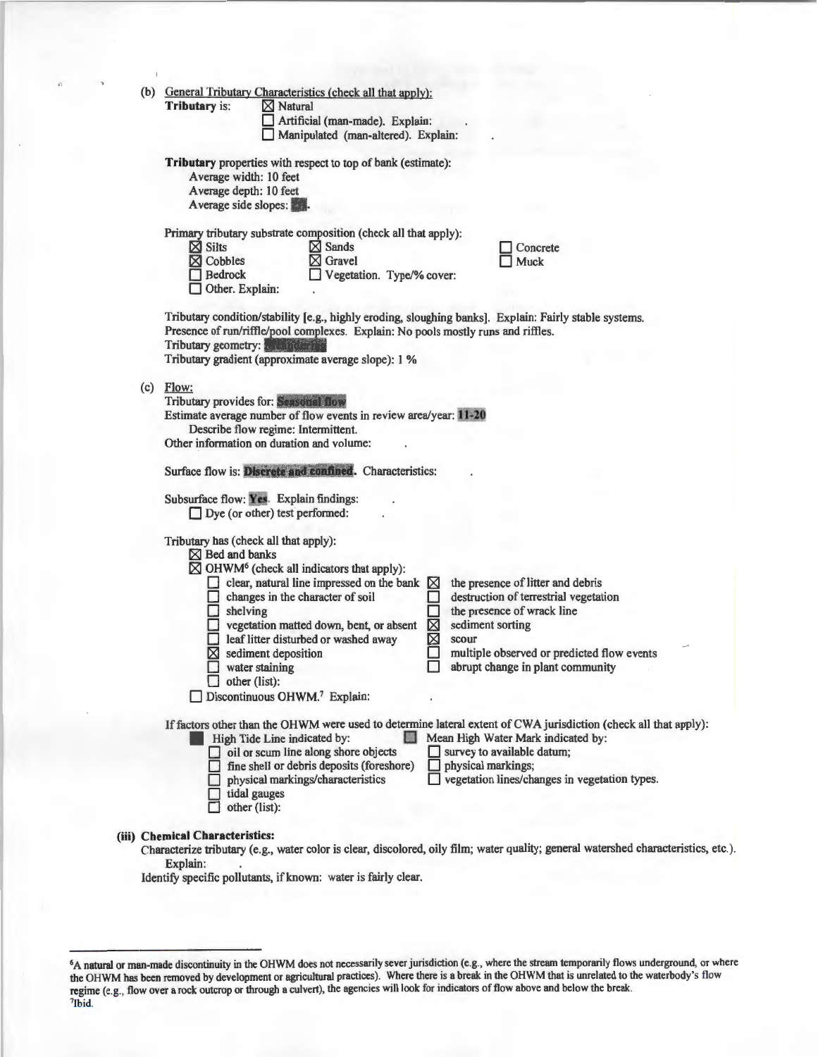|     |                                                                               | (b) General Tributary Characteristics (check all that apply):                                                                                     |                 |                                                                                                                                                        |
|-----|-------------------------------------------------------------------------------|---------------------------------------------------------------------------------------------------------------------------------------------------|-----------------|--------------------------------------------------------------------------------------------------------------------------------------------------------|
|     | <b>Tributary is:</b>                                                          | $\boxtimes$ Natural<br>Artificial (man-made). Explain:                                                                                            |                 |                                                                                                                                                        |
|     |                                                                               | Manipulated (man-altered). Explain:                                                                                                               |                 |                                                                                                                                                        |
|     | Average width: 10 feet                                                        | Tributary properties with respect to top of bank (estimate):                                                                                      |                 |                                                                                                                                                        |
|     | Average depth: 10 feet<br>Average side slopes:                                |                                                                                                                                                   |                 |                                                                                                                                                        |
|     | $\boxtimes$ Silts<br>$\boxtimes$ Cobbles<br><b>Bedrock</b><br>Other. Explain: | Primary tributary substrate composition (check all that apply):<br>$\boxtimes$ Sands<br>$\boxtimes$ Gravel<br>Vegetation. Type/% cover:           |                 | Concrete<br>Muck                                                                                                                                       |
|     | Tributary geometry:                                                           | Presence of run/riffle/pool complexes. Explain: No pools mostly runs and riffles.<br>Tributary gradient (approximate average slope): 1 %          |                 | Tributary condition/stability [e.g., highly eroding, sloughing banks]. Explain: Fairly stable systems.                                                 |
| (c) | Flow:                                                                         |                                                                                                                                                   |                 |                                                                                                                                                        |
|     |                                                                               | Tributary provides for: Seasonal flow<br>Estimate average number of flow events in review area/year: 11-20<br>Describe flow regime: Intermittent. |                 |                                                                                                                                                        |
|     |                                                                               | Other information on duration and volume:                                                                                                         |                 |                                                                                                                                                        |
|     |                                                                               | Surface flow is: Discrete and confined. Characteristics:                                                                                          |                 |                                                                                                                                                        |
|     |                                                                               | Subsurface flow: Yes. Explain findings:<br>$\Box$ Dye (or other) test performed:                                                                  |                 |                                                                                                                                                        |
|     | $\boxtimes$ Bed and banks                                                     | Tributary has (check all that apply):                                                                                                             |                 |                                                                                                                                                        |
|     |                                                                               | $\boxtimes$ OHWM <sup>6</sup> (check all indicators that apply):                                                                                  |                 |                                                                                                                                                        |
|     |                                                                               | clear, natural line impressed on the bank $\boxtimes$<br>$\Box$ changes in the character of soil                                                  |                 | the presence of litter and debris<br>destruction of terrestrial vegetation                                                                             |
|     | shelving                                                                      |                                                                                                                                                   |                 | the presence of wrack line                                                                                                                             |
|     |                                                                               | vegetation matted down, bent, or absent<br>eaf litter disturbed or washed away                                                                    | ⊠<br>⊠<br>scour | sediment sorting                                                                                                                                       |
|     |                                                                               | $\boxtimes$ sediment deposition<br>water staining                                                                                                 |                 | multiple observed or predicted flow events<br>abrupt change in plant community                                                                         |
|     | $\Box$ other (list):                                                          | Discontinuous OHWM. <sup>7</sup> Explain:                                                                                                         |                 |                                                                                                                                                        |
|     |                                                                               | High Tide Line indicated by:                                                                                                                      |                 | If factors other than the OHWM were used to determine lateral extent of CWA jurisdiction (check all that apply):<br>Mean High Water Mark indicated by: |
|     |                                                                               | $\Box$ oil or scum line along shore objects<br>$\Box$ fine shell or debris deposits (foreshore)                                                   | ш               | survey to available datum;<br>physical markings;                                                                                                       |
|     |                                                                               | physical markings/characteristics<br>tidal gauges                                                                                                 |                 | vegetation lines/changes in vegetation types.                                                                                                          |
|     |                                                                               | other (list):                                                                                                                                     |                 |                                                                                                                                                        |
|     | (iii) Chemical Characteristics:                                               |                                                                                                                                                   |                 | Characterize tributary (e.g., water color is clear, discolored, oily film; water quality; general watershed characteristics, etc.).                    |
|     | Explain:                                                                      | Identify specific pollutants, if known: water is fairly clear.                                                                                    |                 |                                                                                                                                                        |
|     |                                                                               |                                                                                                                                                   |                 |                                                                                                                                                        |
|     |                                                                               |                                                                                                                                                   |                 |                                                                                                                                                        |

<sup>6</sup>A natural or man-made discontinuity in the OHWM does not necessarily sever jurisdiction (e.g., where the stream temporarily flows underground, or where the OHWM has been removed by development or agricultural practices). Where there is a break in the OHWM that is unrelated to the waterbody's flow regime (e.g., flow over a rock outcrop or through a culvert), the agencies will look for indicators of flow above and below the break.<br><sup>7</sup>Ibid.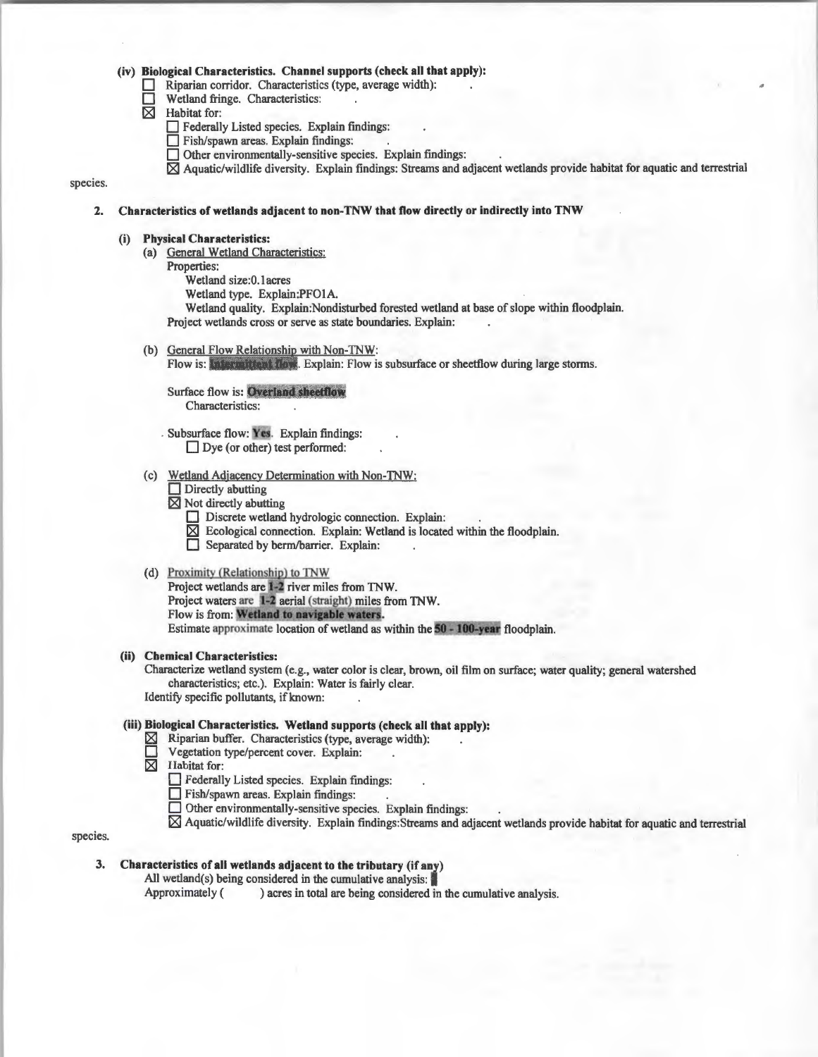## **(iv) Biological Characteristics. Channel supports (check all that apply):**

**D** Riparian corridor. Characteristics (type, average width):

 $\Box$  Wetland fringe. Characteristics:<br> $\boxtimes$  Habitat for:

Habitat for:

- D Federally Listed species. Explain findings:
- Fish/spawn areas. Explain findings:
- Other environmentally-sensitive species. Explain findings:
- [81 Aquatic/wildlife diversity. Explain findings: Streams and adjacent wetlands provide habitat for aquatic and terrestrial

#### species.

#### **2. Characteristics of wetlands adjacent to non-TNW that flow directly or indirectly into TNW**

#### **(i) Physical Characteristics:**

- (a) General Wetland Characteristics:
	- Properties:

Wetland size:O. lacres

Wetland type. Explain:PFOIA.

Wetland quality. Explain:Nondisturbed forested wetland at base of slope within floodplain. Project wetlands cross or serve as state boundaries. Explain:

(b) General Flow Relationship with Non-TNW:

Flow is: Intermittent flow. Explain: Flow is subsurface or sheetflow during large storms.

# **Surface flow is: Overland sheetflow**

Characteristics:

Subsurface flow: Yes. Explain findings: Dye (or other) test performed:

(c) Wetland Adjacency Determination with Non-TNW:

- **Directly abutting**
- **[81** Not directly abutting
	- Discrete wetland hydrologic connection. Explain:
	- $\boxtimes$  Ecological connection. Explain: Wetland is located within the floodplain.
	- **D** Separated by berm/barrier. Explain:

#### (d) Proximity (Relationship) to TNW

Project wetlands are 1-2 river miles from TNW. Project waters are 1-2 aerial (straight) miles from TNW. Flow is from: Wetland to navigable waters. Estimate approximate location of wetland as within the 50 - 100-year floodplain.

## **(ii) Chemical Characteristics:**

Characterize wetland system (e.g., water color is clear, brown, oil film on surface; water quality; general watershed characteristics; etc.). Explain: Water is fairly clear. Identify specific pollutants, if known:

#### **(iii) Biological Characteristics. Wetland supports (check all that apply):**

- $\boxtimes$  Riparian buffer. Characteristics (type, average width):
- Vegetation type/percent cover. Explain:
- **[81** Habitat for:
	- **D** Federally Listed species. Explain findings:
	- D Fish/spawn areas. Explain findings: .
	- D Other environmentally-sensitive species. Explain findings:
	- $\boxtimes$  Aquatic/wildlife diversity. Explain findings: Streams and adjacent wetlands provide habitat for aquatic and terrestrial

species.

All wetland(s) being considered in the cumulative analysis:

Approximately ( ) acres in total are being considered in the cumulative analysis.

**<sup>3.</sup> Characteristics of all wetlands adjacent to the tributary (if any)**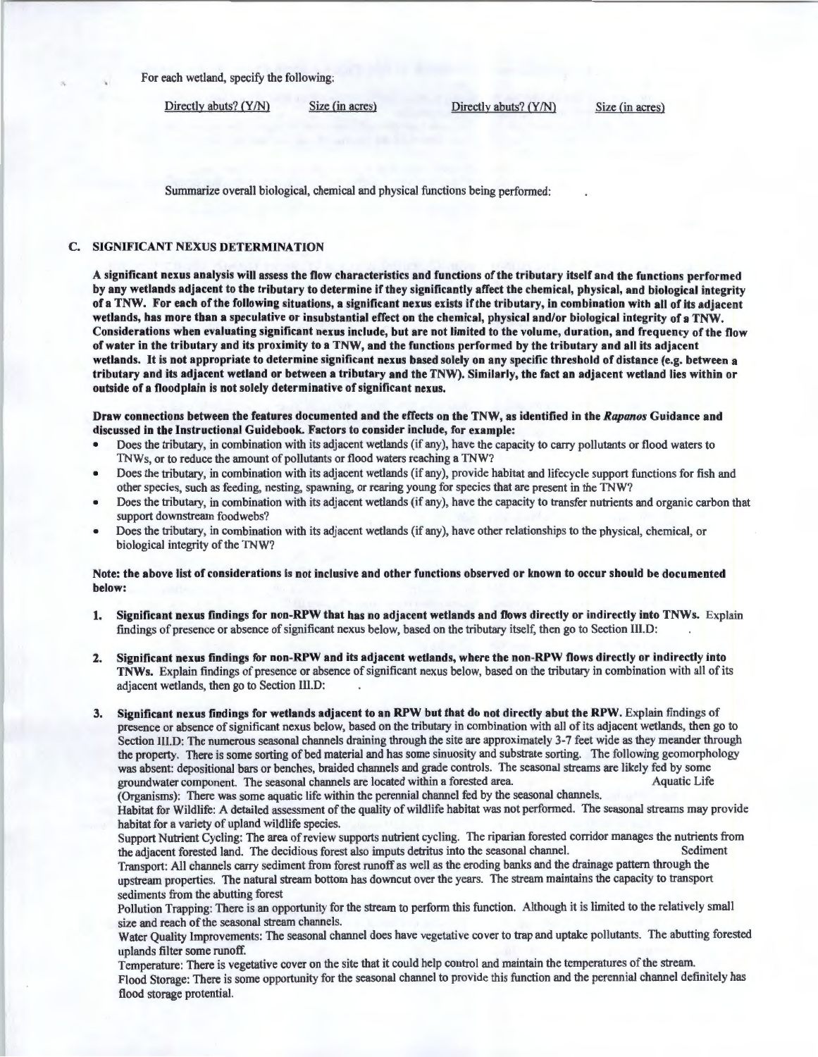For each wetland, specify the following:

Directly abuts? (Y/N) Size (in acres) Directly abuts? (Y/N) Size (in acres)

Summarize overall biological, chemical and physical functions being performed:

## C. SIGNIFICANT NEXUS DETERMINATION

A significant nexus analysis will assess the flow characteristics and functions of the tributary itself and the functions performed by any wetlands adjacent to the tributary to determine if they significantly affect the chemical, physical, and biological integrity of a TNW. For each of the following situations, a significant nexus exists ifthe tributary, in combination with all of its adjacent wetlands, has more than a speculative or insubstantial effect on the chemical, physical and/or biological integrity of a TNW. Considerations when evaluating significant nexus include, but are not limited to the volume, duration, and frequency of the flow of water in the tributary and its proximity to a TNW, and the functions performed by the tributary and all its adjacent wetlands. It is not appropriate to determine significant nexus based solely on any specific threshold of distance (e.g. between a tributary and its adjacent wetland or between a tributary and the TNW). Similarly, the fact an adjacent wetland lies within or outside of a floodplain is not solely determinative of significant nexus.

Draw connections between the features documented and the effects on the TNW, as identified in the *Rapanos* Guidance and discussed in the Instructional Guidebook. Factors to consider include, for example:

- Does the tributary, in combination with its adjacent wetlands (if any), have the capacity to carry pollutants or flood waters to TNWs, or to reduce the amount of pollutants or flood waters reaching a TNW?
- Does the tributary, in combination with its adjacent wetlands (if any), provide habitat and lifecycle support functions for fish and other species, such as feeding, nesting, spawning, or rearing young for species that are present in the TNW?
- Does the tributary, in combination with its adjacent wetlands (if any), have the capacity to transfer nutrients and organic carbon that support downstream foodwebs?
- Does the tributary, in combination with its adjacent wetlands (if any), have other relationships to the physical, chemical, or biological integrity of the TNW?

## Note: the above list of considerations is not inclusive and other functions observed or known to occur should be documented below:

- 1. Significant nexus findings for non-RPW that has no adjacent wetlands and flows directly or indirectly into TNWs. Explain findings of presence or absence of significant nexus below, based on the tributary itself, then go to Section lll.D:
- 2. Significant nexus findings for non-RPW and its adjacent wetlands, where the non-RPW flows directly or indirectly into TNWs. Explain findings of presence or absence of significant nexus below, based on the tributary in combination with all of its adjacent wetlands, then go to Section III.D:
- 3. Significant nexus findings for wetlands adjacent to an RPW but that do not directly abut the RPW. Explain findings of presence or absence of significant nexus below, based on the tributary in combination with all of its adjacent wetlands, then go to Section lll.D: The numerous seasonal channels draining through the site are approximately 3-7 feet wide as they meander through the property. There is some sorting of bed material and has some sinuosity and substrate sorting. The following geomorphology was absent: depositional bars or benches, braided channels and grade controls. The seasonal streams are likely fed by some<br>organization organization of the seasonal channels are located within a forested area. groundwater component. The seasonal channels are located within a forested area. (Organisms): There was some aquatic life within the perennial channel fed by the seasonal channels.

Habitat for Wildlife: A detailed assessment of the quality of wildlife habitat was not performed. The seasonal streams may provide habitat for a variety of upland wildlife species.

Support Nutrient Cycling: The area of review supports nutrient cycling. The riparian forested corridor manages the nutrients from the adjacent forested land. The decidious forest also imputs detritus into the seasonal chan the adjacent forested land. The decidious forest also imputs detritus into the seasonal channel.

Transport: All channels carry sediment from forest runoff as well as the eroding banks and the drainage pattern through the upstream properties. The natural stream bottom has downcut over the years. The stream maintains the capacity to transport sediments from the abutting forest

Pollution Trapping: There is an opportunity for the stream to perform this function. Although it is limited to the relatively small size and reach of the seasonal stream channels.

Water Quality Improvements: The seasonal channel does have vegetative cover to trap and uptake pollutants. The abutting forested uplands filter some runoff.

Temperature: There is vegetative cover on the site that it could help control and maintain the temperatures of the stream. Flood Storage: There is some opportunity for the seasonal channel to provide this function and the perennial channel definitely has flood storage protential.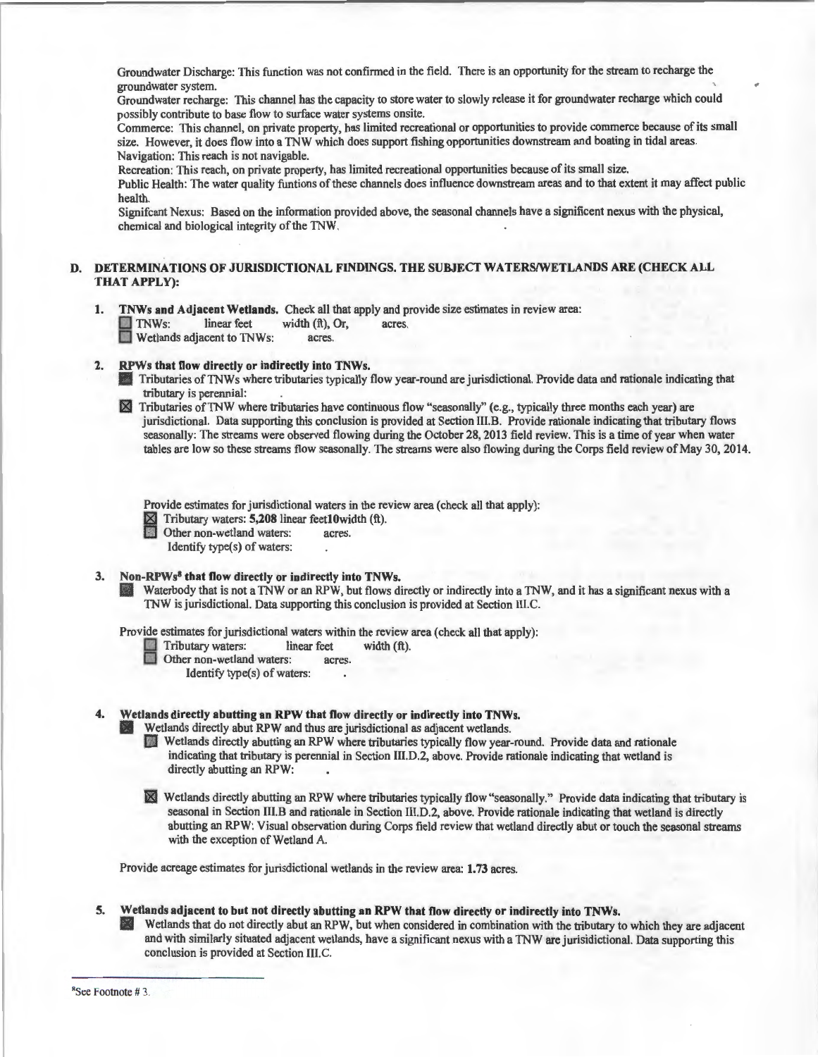Groundwater Discharge: This function was not confirmed in the field. There is an opportunity for the stream to recharge the groundwater system.

Groundwater recharge: This channel has the capacity to store water to slowly release it for groundwater recharge which could possibly contribute to base flow to surface water systems onsite.

Commerce: This channel, on private property, has limited recreational or opportunities to provide commerce because of its small size. However, it does flow into a TNW which does support fishing opportunities downstream and boating in tidal areas. Navigation: This reach is not navigable.

Recreation: This reach, on private property, has limited recreational opportunities because of its small size.

Public Health: The water quality funtions of these channels does influence downstream areas and to that extent it may affect public health.

Signifcant Nexus: Based on the information provided above, the seasonal channels have a significent nexus with the physical, chemical and biological integrity of the TNW.

## DETERMINATIONS OF JURISDICTIONAL FINDINGS. THE SUBJECT WATERS/WETLANDS ARE (CHECK ALL THAT APPLY):

- 1. TNWs and Adjacent Wetlands. Check all that apply and provide size estimates in review area:<br>
TNWs: linear feet width (ft), Or, acres. B TNWs: linear feet width (ft), Or, acres. Wetlands adjacent to TNWs: acres.
- 2. RPWs that flow directly or indirectly into TNWs.

' Tributaries ofTNWs where tributaries typically flow year-round are jurisdictional. Provide data and rationale indicating that tributary is perennial:

Tributaries ofTNW where tributaries have continuous flow "seasonally" (e.g., typically three months each year) are  $\boxtimes$ jurisdictional. Data supporting this conclusion is provided at Section III.B. Provide rationale indicating that tributary flows seasonally: The streams were observed flowing during the October 28, 2013 field review. This is a time of year when water tables are low so these streams flow seasonally. The streams were also flowing during the Corps field review of May 30, 2014.

Provide estimates for jurisdictional waters in the review area (check all that apply):

 $\boxtimes$  Tributary waters: **5,208** linear feet 10 width (ft). Other non-wetland waters: acres.

Identify type(s) of waters:

#### 3. Non-RPWs<sup>8</sup> that flow directly or indirectly into TNWs.

Waterbody that is not a TNW or an RPW, but flows directly or indirectly into a TNW, and it has a significant nexus with a TNW is jurisdictional. Data supporting this conclusion is provided at Section III.C.

Provide estimates for jurisdictional waters within the review area (check all that apply):<br>
Tributary waters: linear feet width (ft).

**B** Tributary waters: linear feet width (ft).

Other non-wetland waters:

Identify type(s) of waters:

## 4. Wetlands directly abutting an RPW that flow directly or indirectly into TNWs.

Wetlands directly abut RPW and thus are jurisdictional as adjacent wetlands.

[J Wetlands directly abutting an RPW where tributaries typically flow year-round. Provide data and rationale indicating that tributary is perennial in Section III.D.2, above. Provide rationale indicating that wetland is directly abutting an RPW:

Im Wetlands directly abutting an RPW where tributaries typically flow "seasonally." Provide data indicating that tributary is seasonal in Section III.B and rationale in Section III.D.2, above. Provide rationale indicating that wetland is directly abutting an RPW: Visual observation during Corps field review that wetland directly abut or touch the seasonal streams with the exception of Wetland A.

Provide acreage estimates for jurisdictional wetlands in the review area: 1.73 acres.

#### 5. Wetlands adjacent to but not directly abutting an RPW that flow directly or indirectly into TNWs.

181 Wetlands that do not directly abut an RPW, but when considered in combination with the tributary to which they are adjacent and with similarly situated adjacent wetlands, have a significant nexus with a TNW are jurisidictional. Data supporting this conclusion is provided at Section III.C.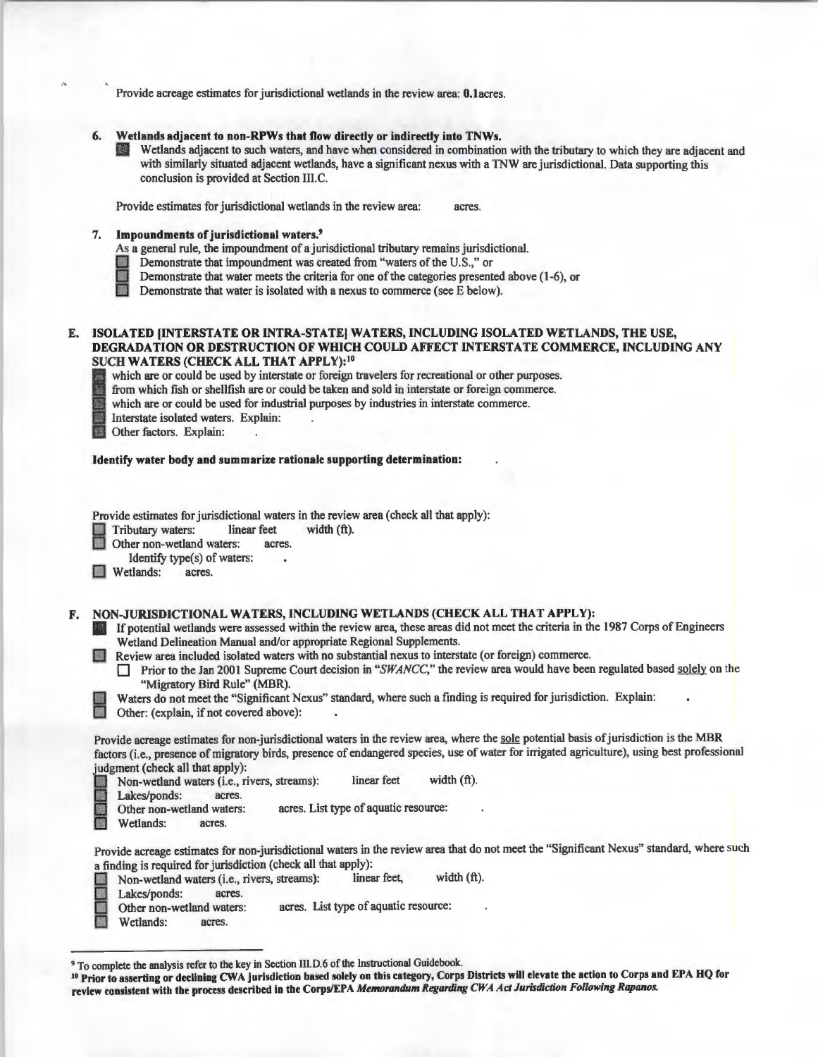Provide acreage estimates for jurisdictional wetlands in the review area: O.lacres.

- 6. Wetlands adjacent to non-RPWs that flow directly or indirectly into TNWs.
	- Wetlands adjacent to such waters, and have when considered in combination with the tributary to which they are adjacent and with similarly situated adjacent wetlands, have a significant nexus with a TNW are jurisdictional. Data supporting this conclusion is provided at Section lll.C.

Provide estimates for jurisdictional wetlands in the review area: acres

7. Impoundments of jurisdictional waters.9

As a general rule, the impoundment of a jurisdictional tributary remains jurisdictional.

**I Demonstrate that impoundment was created from "waters of the U.S.," or Demonstrate that water meets the criteria for one of the categories present<br>I Demonstrate that water is isolated with a nexus to commerce (see E bel** Demonstrate that water meets the criteria for one of the categories presented above (1-6), or

Demonstrate that water is isolated with a nexus to commerce (see E below).

#### E. ISOLATED (INTERSTATE OR INTRA-STATE] WATERS, INCLUDING ISOLATED WETLANDS, THE USE, DEGRADATION OR DESTRUCTION OF WHICH COULD AFFECT INTERSTATE COMMERCE, INCLUDING ANY SUCH WATERS (CHECK ALL THAT APPLY):<sup>10</sup>

which are or could be used by interstate or foreign travelers for recreational or other purposes.

from which fish or shellfish are or could be taken and sold in interstate or foreign commerce.

which are or could be used for industrial purposes by industries in interstate commerce.

**Exploreristate isolated waters.** Explorering Other factors. Explain: Interstate isolated waters. Explain: .

## Identify water body and summarize rationale supporting determination:

Provide estimates for jurisdictional waters in the review area (check all that apply):

Tributary waters: linear feet width (ft).

Other non-wetland waters: acres.

Identify type(s) of waters:

Wetlands: acres.

## F. NON-JURISDICTIONAL WATERS, INCLUDING WETLANDS (CHECK ALL THAT APPLY):

- If potential wetlands were assessed within the review area, these areas did not meet the criteria in the 1987 Corps of Engineers Wetland Delineation Manual and/or appropriate Regional Supplements.
- **L'I Review area included isolated waters with no substantial nexus to interstate (or foreign) commerce.** 
	- **D** Prior to the Jan 2001 Supreme Court decision in "SWANCC," the review area would have been regulated based solely on the "Migratory Bird Rule" (MBR).
	- Waters do not meet the "Significant Nexus" standard, where such a finding is required for jurisdiction. Explain:

Other: (explain, if not covered above):

Provide acreage estimates for non-jurisdictional waters in the review area, where the sole potential basis of jurisdiction is the MBR factors (i.e., presence of migratory birds, presence of endangered species, use of water for irrigated agriculture), using best professional judgment (check all that apply):

|      |                           | Non-wetland waters (i.e., rivers, streams): |                                       | linear feet | width $(fth)$ . |  |
|------|---------------------------|---------------------------------------------|---------------------------------------|-------------|-----------------|--|
|      | Lakes/ponds:              | acres.                                      |                                       |             |                 |  |
|      | Other non-wetland waters: |                                             | acres. List type of aquatic resource: |             |                 |  |
| EEEE | Wetlands:                 | acres.                                      |                                       |             |                 |  |
|      |                           |                                             |                                       |             |                 |  |

Provide acreage estimates for non-jurisdictional waters in the review area that do not meet the "Significant Nexus" standard, where such a finding is required for jurisdiction (check all that apply):

- width (ft). Lakes/ponds: acres. Non-wetland waters (i.e., rivers, streams): linear feet,<br>Lakes/ponds: acres.<br>Other non-wetland waters: acres. List type of aquatic<br>Wetlands: acres.
- acres. List type of aquatic resource:
- Wetlands:

<sup>&</sup>lt;sup>9</sup> To complete the analysis refer to the key in Section III.D.6 of the Instructional Guidebook.<br><sup>10</sup> Prior to asserting or declining CWA jurisdiction based solely on this category, Corps Districts will elevate the action review consistent with the process described in the Corps/EPA *Memorandum Regarding CWA Act Jurisdiction Following Rapanos.*